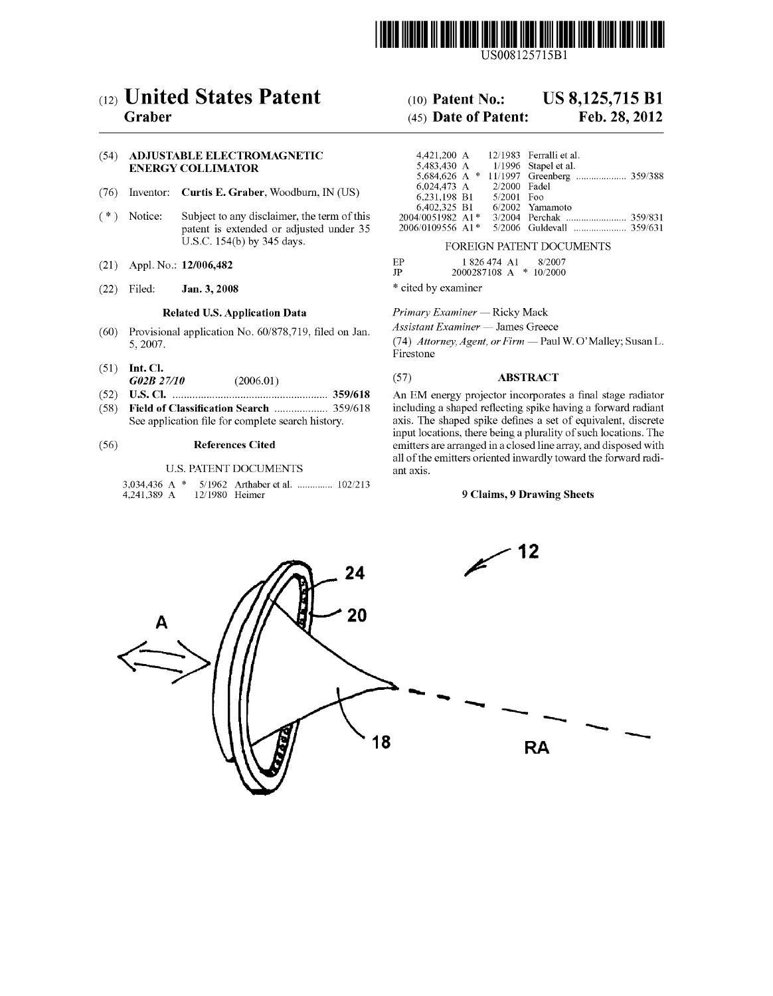

US008125715E1

# (12) United States Patent (10) Patent No.: US 8,125,715 B1<br>Graber (45) Date of Patent: Feb. 28, 2012

# (54) ADJUSTABLE ELECTROMAGNETIC ENERGY COLLIMATOR

- (76) Inventor: **Curtis E. Graber**, Woodburn, IN (US)  $(*)$  Notice: Subject to any disclaimer, the term of the
- Subject to any disclaimer, the term of this patent is extended or adjusted under 35 U.S.C. 154(b) by 345 days.
- (21) Appl. No.:  $12/006,482$  EP
- (22) Filed: **Jan. 3, 2008** \* cited by examiner

- (60) Provisional application No.  $60/878,719$ , filed on Jan.  $5,2007$ .
- (51) Int. Cl. GO2B 27/10 (2006.01) (57) ABSTRACT
- (58) Field of Classification Search ................... 359/618 including a shaped reflecting spike having a forward radiant
- 

# U.S. PATENT DOCUMENTS

3,034,436 A \* 5/1962 Arthaber et al. ............... 102/213<br>4,241,389 A 12/1980 Heimer 12/1980 Heimer

# $(45)$  Date of Patent:

| 4.421.200 A<br>5,483,430 A<br>6,024,473 A<br>6.231.198 B1 | 2/2000 Fadel<br>$5/2001$ Foo | 12/1983 Ferralli et al.<br>$1/1996$ Stapel et al. |  |
|-----------------------------------------------------------|------------------------------|---------------------------------------------------|--|
| 6,402,325 B1                                              |                              | 6/2002 Yamamoto                                   |  |
| 2004/0051982 A1*                                          |                              |                                                   |  |
| 2006/0109556 A1*                                          |                              | 5/2006 Guldevall  359/631                         |  |

### FOREIGN PATENT DOCUMENTS

| EP | 1 826 474 A1 | 8/2007 |
|----|--------------|--------|
|    |              |        |
|    |              |        |

2000287108 A \* 10/2000

Related U.S. Application Data Primary Examiner — Ricky Mack<br>
anal continuation No. 60/979 710, filed on Jon *Assistant Examiner* — James Greece

(74) Attorney, Agent, or Firm - Paul W. O'Malley; Susan L. Firestone

(52) U.S. Cl. ....................................................... 359/618 An EM energy projector incorporates a final stage radiator axis. The shaped spike defines a set of equivalent, discrete input locations, there being a plurality of such locations. The (56) References Cited emitters are arranged in a closed line array, and disposed with all of the emitters oriented inwardly toward the forward radi ant axis.

# 9 Claims, 9 Drawing Sheets

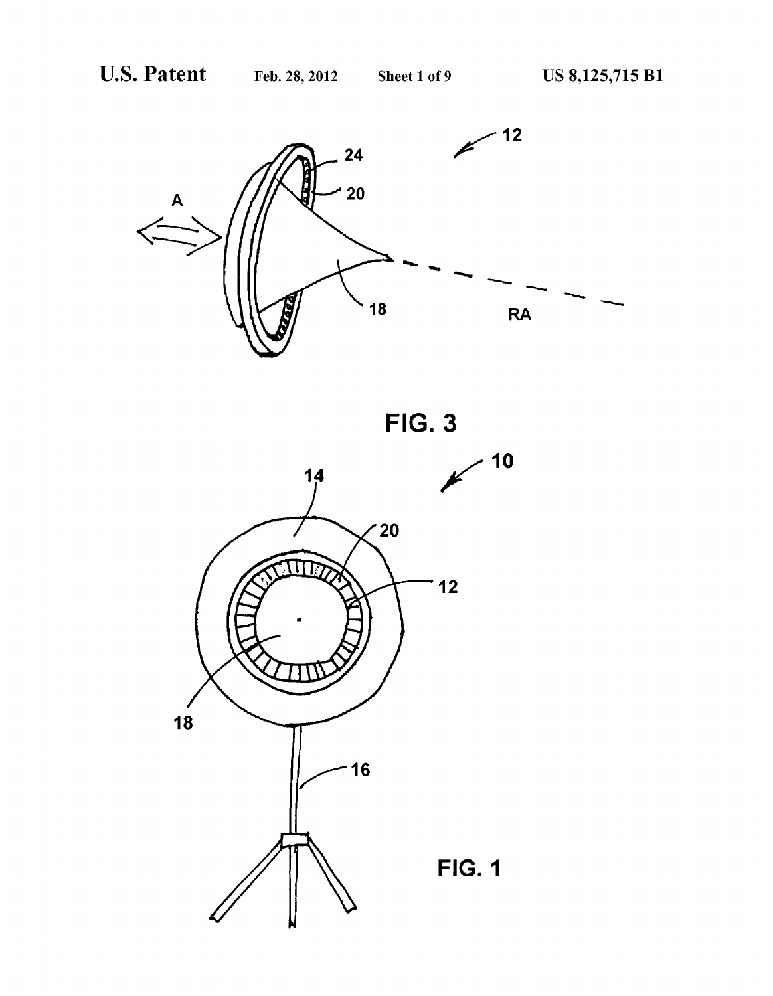

FIG. 3

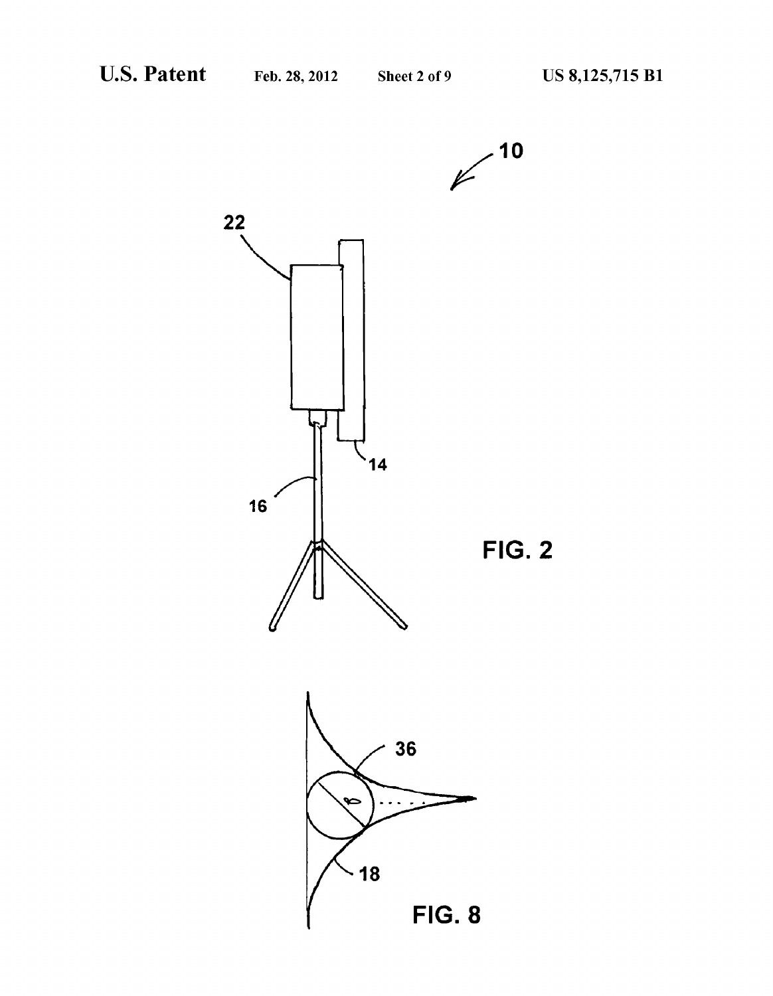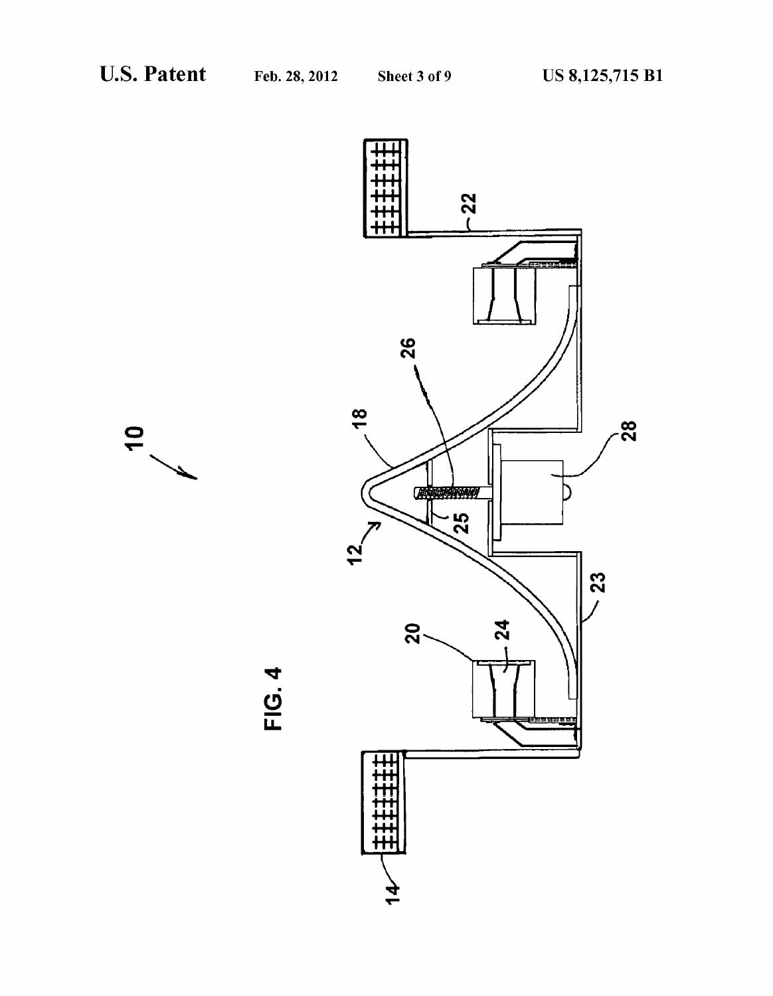

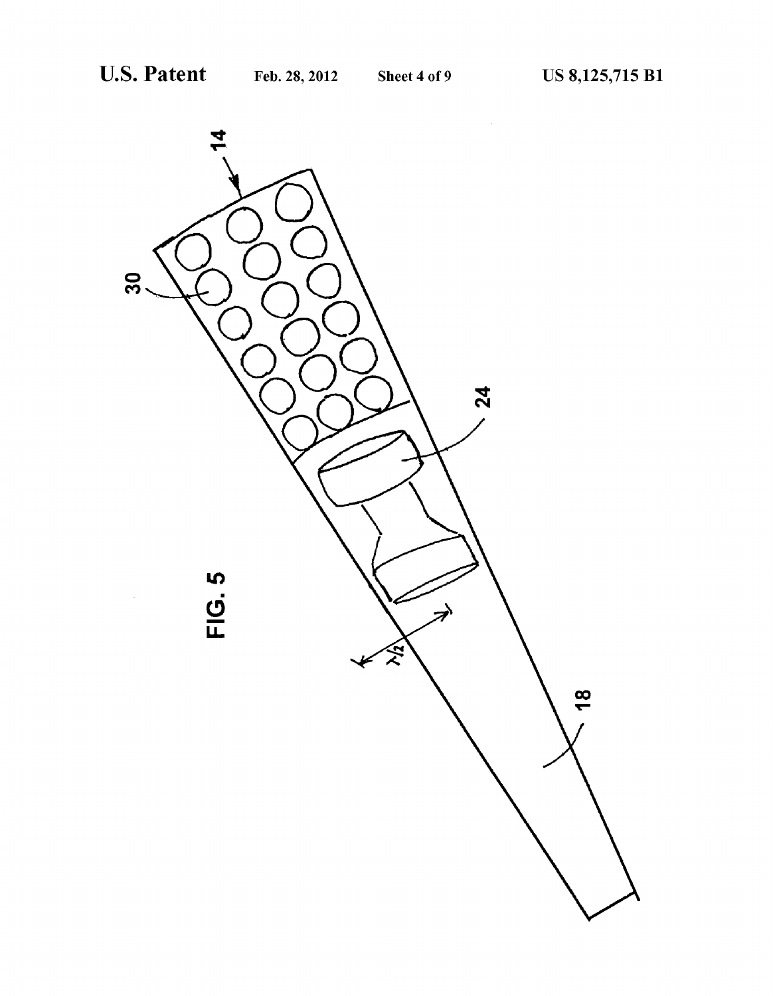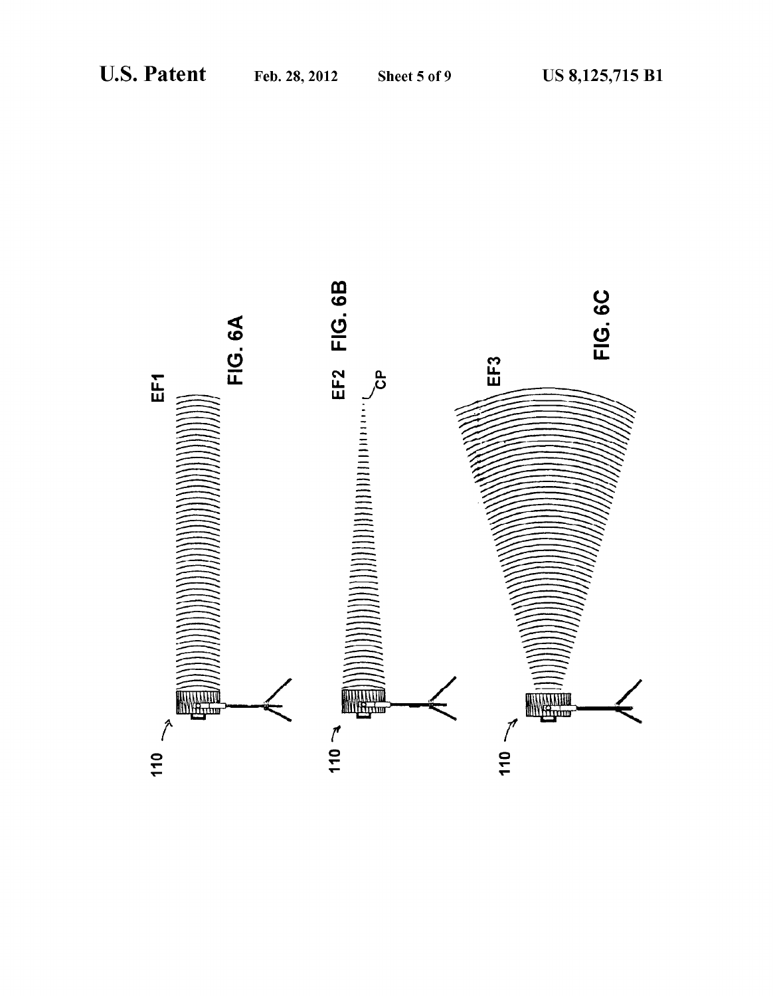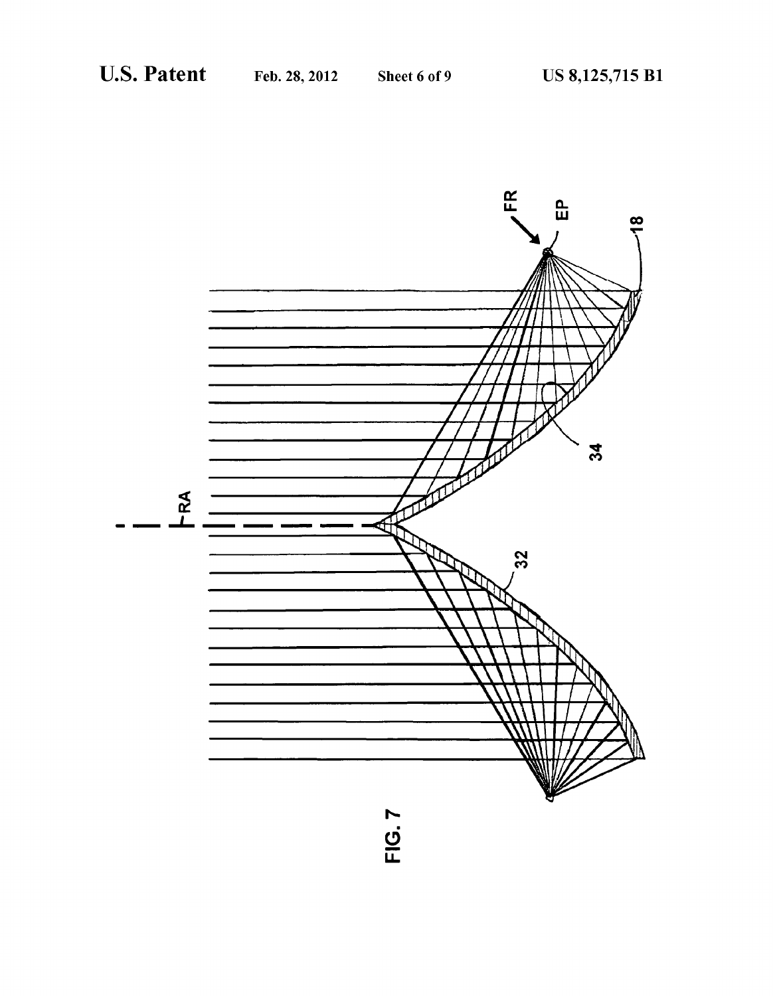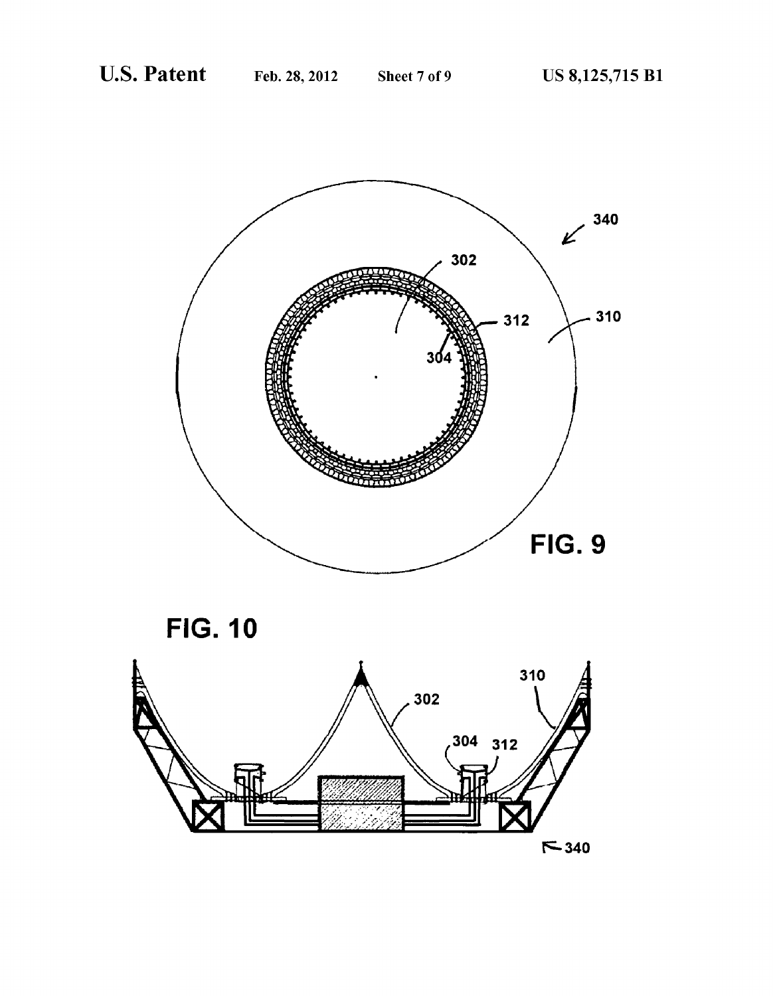

**FIG. 10** 

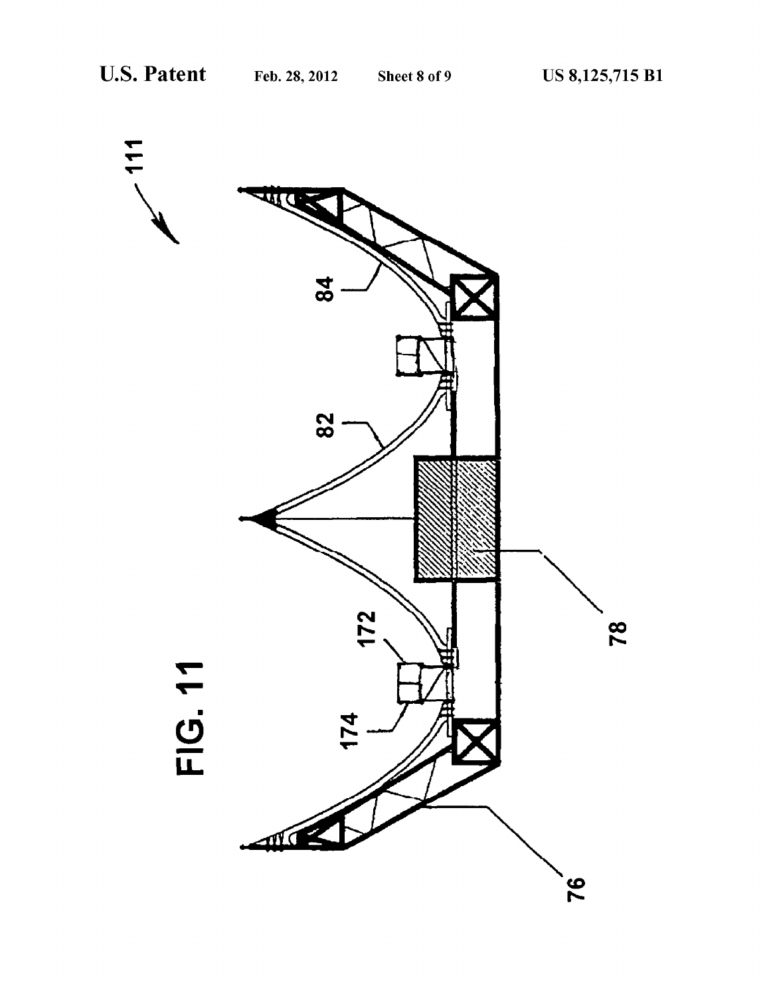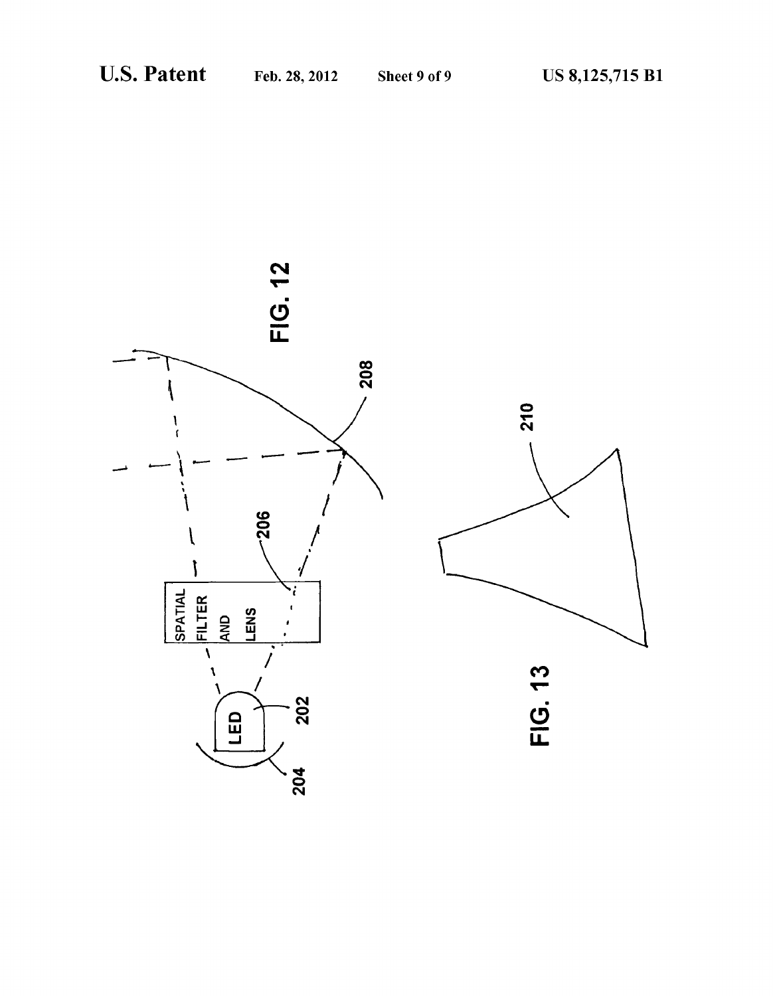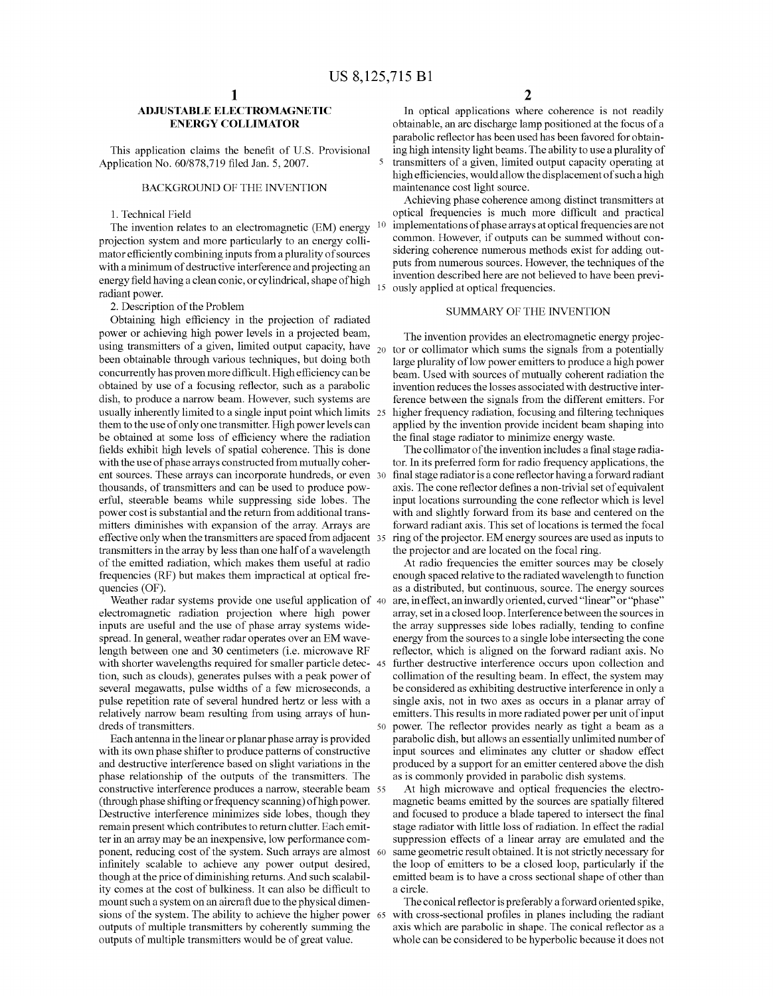# ADJUSTABLE ELECTROMAGNETIC ENERGY COLLIMATOR

This application claims the benefit of U.S. Provisional Application No. 60/878,719 filed Jan. 5, 2007.

# BACKGROUND OF THE INVENTION

# 1. Technical Field

The invention relates to an electromagnetic (EM) energy projection system and more particularly to an energy colli mator efficiently combining inputs from a plurality of sources with a minimum of destructive interference and projecting an energy field having a clean conic, or cylindrical, shape of high radiant power.

2. Description of the Problem

Obtaining high efficiency in the projection of radiated power or achieving high power levels in a projected beam, using transmitters of a given, limited output capacity, have  $_{20}$  tor or collimator which sums the signals from a potentially been obtainable through various techniques, but doing both concurrently has proven more difficult. High efficiency can be obtained by use of a focusing reflector, such as a parabolic dish, to produce a narrow beam. However, such systems are usually inherently limited to a single input point which limits 25 them to the use of only one transmitter. High power levels can be obtained at some loss of efficiency where the radiation fields exhibit high levels of spatial coherence. This is done with the use of phase arrays constructed from mutually coher ent sources. These arrays can incorporate hundreds, or even 30 thousands, of transmitters and can be used to produce pow erful, steerable beams while suppressing side lobes. The power cost is substantial and the return from additional trans mitters diminishes with expansion of the array. Arrays are effective only when the transmitters are spaced from adjacent 35 transmitters in the array by less than one half of a wavelength of the emitted radiation, which makes them useful at radio frequencies (RF) but makes them impractical at optical fre quencies (OF).

Weather radar systems provide one useful application of 40 electromagnetic radiation projection where high power inputs are useful and the use of phase array systems widespread. In general, weather radar operates over an EM wave length between one and 30 centimeters (i.e. microwave RF with shorter wavelengths required for smaller particle detec- 45 tion, Such as clouds), generates pulses with a peak power of several megawatts, pulse widths of a few microseconds, a pulse repetition rate of several hundred hertz or less with a relatively narrow beam resulting from using arrays of hun dreds of transmitters. 50

Each antenna in the linear or planar phase array is provided with its own phase shifter to produce patterns of constructive and destructive interference based on slight variations in the phase relationship of the outputs of the transmitters. The constructive interference produces a narrow, steerable beam 55 (through phase shifting or frequency scanning) of high power. Destructive interference minimizes side lobes, though they remain present which contributes to return clutter. Each emit ter in an array may be an inexpensive, low performance com ponent, reducing cost of the system. Such arrays are almost 60 infinitely scalable to achieve any power output desired, though at the price of diminishing returns. And such scalability comes at the cost of bulkiness. It can also be difficult to mount such a system on an aircraft due to the physical dimensions of the system. The ability to achieve the higher power 65 outputs of multiple transmitters by coherently summing the outputs of multiple transmitters would be of great value.

In optical applications where coherence is not readily obtainable, an arc discharge lamp positioned at the focus of a parabolic reflector has been used has been favored for obtain ing high intensity light beams. The ability to use a plurality of transmitters of a given, limited output capacity operating at high efficiencies, would allow the displacement of such a high maintenance cost light source.

15 invention described here are not believed to have been previ ously applied at optical frequencies. Achieving phase coherence among distinct transmitters at optical frequencies is much more difficult and practical implementations of phase arrays at optical frequencies are not common. However, if outputs can be Summed without con sidering coherence numerous methods exist for adding out puts from numerous sources. However, the techniques of the

# SUMMARY OF THE INVENTION

The invention provides an electromagnetic energy projec large plurality of low power emitters to produce a high power beam. Used with sources of mutually coherent radiation the invention reduces the losses associated with destructive inter ference between the signals from the different emitters. For higher frequency radiation, focusing and filtering techniques applied by the invention provide incident beam shaping into the final stage radiator to minimize energy waste.

The collimator of the invention includes a final stage radia tor. In its preferred form for radio frequency applications, the final stage radiatoris a cone reflector having a forward radiant input locations surrounding the cone reflector which is level with and slightly forward from its base and centered on the forward radiant axis. This set of locations is termed the focal ring of the projector. EM energy sources are used as inputs to the projector and are located on the focal ring.

At radio frequencies the emitter sources may be closely enough spaced relative to the radiated wavelength to function as a distributed, but continuous, Source. The energy sources are, in effect, an inwardly oriented, curved "linear" or "phase" array, set in a closed loop. Interference between the Sources in the array suppresses side lobes radially, tending to confine energy from the sources to a single lobe intersecting the cone reflector, which is aligned on the forward radiant axis. No further destructive interference occurs upon collection and collimation of the resulting beam. In effect, the system may be considered as exhibiting destructive interference in only a single axis, not in two axes as occurs in a planar array of emitters. This results in more radiated power per unit of input power. The reflector provides nearly as tight a beam as a parabolic dish, but allows an essentially unlimited number of input sources and eliminates any clutter or shadow effect produced by a support for an emitter centered above the dish as is commonly provided in parabolic dish systems.

At high microwave and optical frequencies the electro magnetic beams emitted by the sources are spatially filtered and focused to produce a blade tapered to intersect the final stage radiator with little loss of radiation. In effect the radial suppression effects of a linear array are emulated and the same geometric result obtained. It is not strictly necessary for the loop of emitters to be a closed loop, particularly if the emitted beam is to have a cross sectional shape of other than a circle.

The conical reflector is preferably a forward oriented spike, with cross-sectional profiles in planes including the radiant axis which are parabolic in shape. The conical reflector as a whole can be considered to be hyperbolic because it does not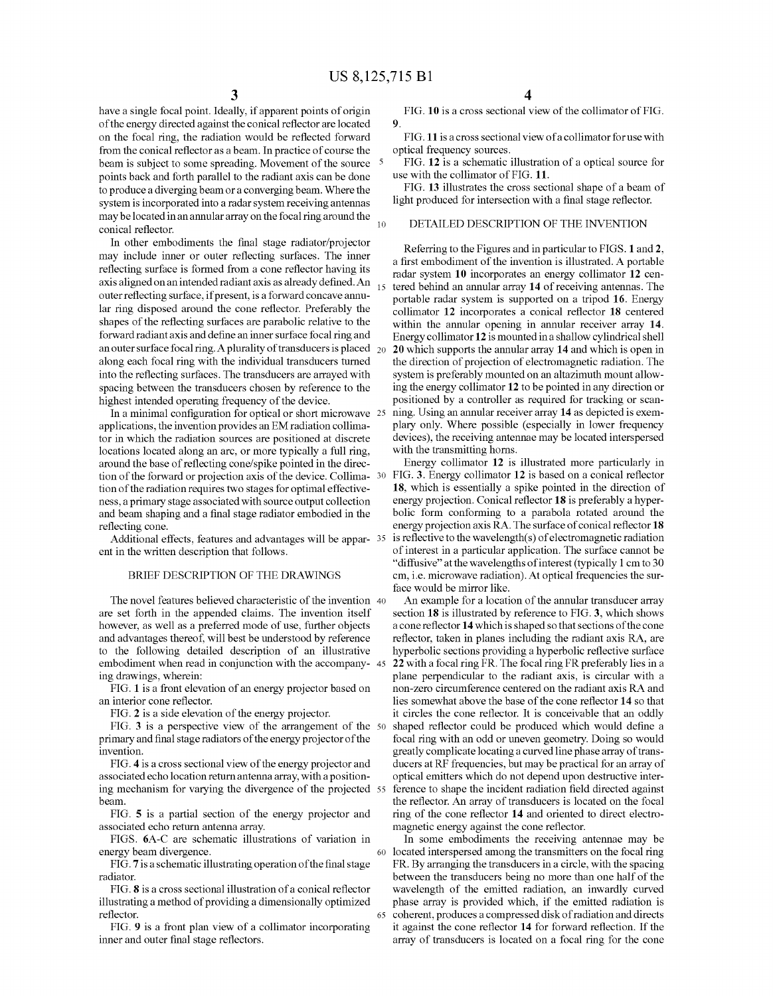15

have a single focal point. Ideally, if apparent points of origin of the energy directed against the conical reflector are located on the focal ring, the radiation would be reflected forward from the conical reflector as a beam. In practice of course the beam is subject to some spreading. Movement of the source <sup>5</sup> points back and forth parallel to the radiant axis can be done to produce a diverging beam or a converging beam. Where the system is incorporated into a radar system receiving antennas may be located in an annular array on the focal ring around the conical reflector.

In other embodiments the final stage radiator/projector may include inner or outer reflecting surfaces. The inner reflecting surface is formed from a cone reflector having its axis aligned on an intended radiant axis as already defined. An outer reflecting surface, if present, is a forward concave annular ring disposed around the cone reflector. Preferably the shapes of the reflecting surfaces are parabolic relative to the forward radiant axis and define an inner Surface focal ring and an outer surface focal ring. A plurality of transducers is placed  $_{20}$ along each focal ring with the individual transducers turned into the reflecting surfaces. The transducers are arrayed with spacing between the transducers chosen by reference to the highest intended operating frequency of the device.

In a minimal configuration for optical or short microwave 25 applications, the invention provides an EM radiation collima tor in which the radiation sources are positioned at discrete locations located along an arc, or more typically a full ring, around the base of reflecting cone/spike pointed in the direc tion of the forward or projection axis of the device. Collima- 30 tion of the radiation requires two stages for optimal effective ness, a primary stage associated with source output collection and beam shaping and a final stage radiator embodied in the reflecting cone.

Additional effects, features and advantages will be appar-35 ent in the written description that follows.

# BRIEF DESCRIPTION OF THE DRAWINGS

The novel features believed characteristic of the invention 40 are set forth in the appended claims. The invention itself however, as well as a preferred mode of use, further objects and advantages thereof, will best be understood by reference to the following detailed description of an illustrative embodiment when read in conjunction with the accompany- 45 ing drawings, wherein:

FIG. 1 is a front elevation of an energy projector based on an interior cone reflector.

FIG. 2 is a side elevation of the energy projector.

FIG. 3 is a perspective view of the arrangement of the 50 primary and final stage radiators of the energy projector of the invention.

FIG. 4 is a cross sectional view of the energy projector and associated echo location return antenna array, with a positioning mechanism for varying the divergence of the projected 55 beam.

FIG. 5 is a partial section of the energy projector and associated echo return antenna array.

FIGS. 6A-C are schematic illustrations of variation in energy beam divergence.

FIG. 7 is a schematic illustrating operation of the final stage radiator.

FIG. 8 is a cross sectional illustration of a conical reflector illustrating a method of providing a dimensionally optimized reflector. 65

FIG. 9 is a front plan view of a collimator incorporating inner and outer final stage reflectors.

FIG. 10 is a cross sectional view of the collimator of FIG. 9.

FIG.11 is across sectional view of a collimator foruse with optical frequency sources.

FIG. 12 is a schematic illustration of a optical source for use with the collimator of FIG. 11.

FIG. 13 illustrates the cross sectional shape of a beam of light produced for intersection with a final stage reflector.

## DETAILED DESCRIPTION OF THE INVENTION

Referring to the Figures and in particular to FIGS. 1 and 2, a first embodiment of the invention is illustrated. A portable radar system 10 incorporates an energy collimator 12 centered behind an annular array 14 of receiving antennas. The portable radar system is supported on a tripod 16. Energy collimator 12 incorporates a conical reflector 18 centered within the annular opening in annular receiver array 14. Energy collimator 12 is mounted in a shallow cylindrical shell 20 which supports the annular array 14 and which is open in the direction of projection of electromagnetic radiation. The system is preferably mounted on an altazimuth mount allow ing the energy collimator 12 to be pointed in any direction or positioned by a controller as required for tracking or scan ning. Using an annular receiver array 14 as depicted is exem plary only. Where possible (especially in lower frequency devices), the receiving antennae may be located interspersed with the transmitting horns.

Energy collimator 12 is illustrated more particularly in FIG. 3. Energy collimator 12 is based on a conical reflector 18, which is essentially a spike pointed in the direction of energy projection. Conical reflector 18 is preferably a hyper bolic form conforming to a parabola rotated around the energy projection axis RA. The surface of conical reflector 18 is reflective to the wavelength(s) of electromagnetic radiation of interest in a particular application. The Surface cannot be "diffusive' at the wavelengths of interest (typically 1 cm to 30 cm, i.e. microwave radiation). At optical frequencies the Sur face would be mirror like.

An example for a location of the annular transducer array section 18 is illustrated by reference to FIG. 3, which shows a cone reflector 14 which is shaped so that sections of the cone reflector, taken in planes including the radiant axis RA, are hyperbolic sections providing a hyperbolic reflective surface 22 with a focal ring FR. The focal ring FR preferably lies in a plane perpendicular to the radiant axis, is circular with a non-Zero circumference centered on the radiant axis RA and lies somewhat above the base of the cone reflector 14 so that it circles the cone reflector. It is conceivable that an oddly shaped reflector could be produced which would define a focal ring with an odd or uneven geometry. Doing so would greatly complicate locating a curved line phase array of trans ducers at RF frequencies, but may be practical for an array of optical emitters which do not depend upon destructive inter ference to shape the incident radiation field directed against the reflector. An array of transducers is located on the focal ring of the cone reflector 14 and oriented to direct electro magnetic energy against the cone reflector.

In some embodiments the receiving antennae may be located interspersed among the transmitters on the focal ring FR. By arranging the transducers in a circle, with the spacing between the transducers being no more than one half of the wavelength of the emitted radiation, an inwardly curved phase array is provided which, if the emitted radiation is coherent, produces a compressed disk of radiation and directs it against the cone reflector 14 for forward reflection. If the array of transducers is located on a focal ring for the cone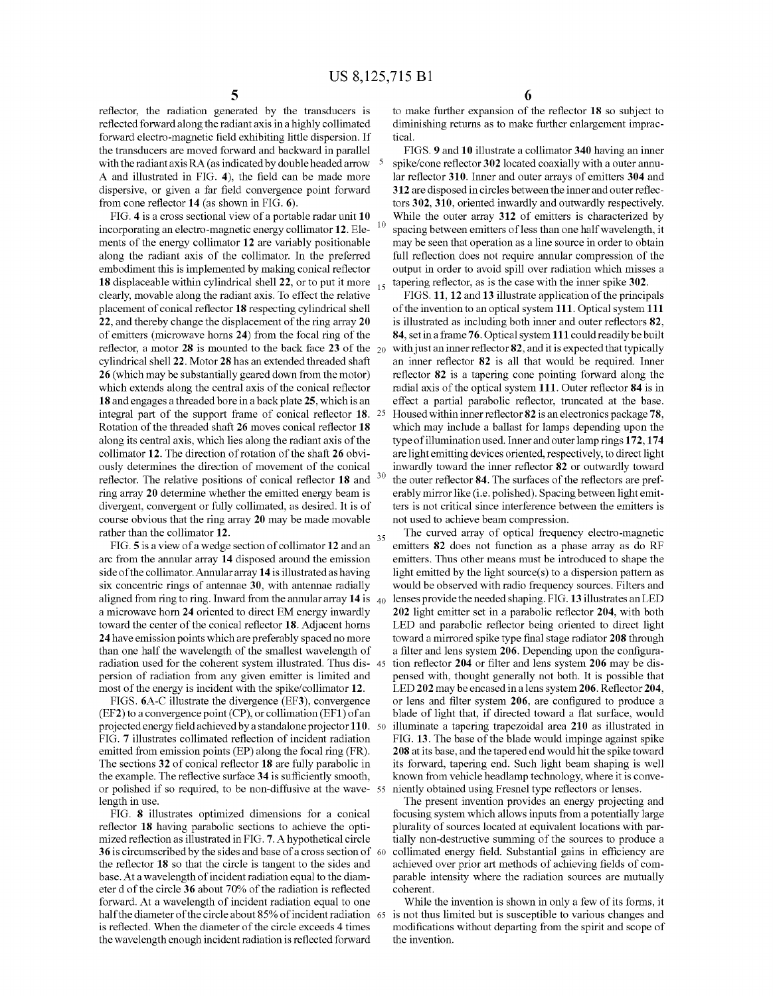reflector, the radiation generated by the transducers is reflected forward along the radiant axis in a highly collimated forward electro-magnetic field exhibiting little dispersion. If the transducers are moved forward and backward in parallel with the radiant axis RA (as indicated by double headed arrow A and illustrated in FIG. 4), the field can be made more dispersive, or given a far field convergence point forward from cone reflector 14 (as shown in FIG. 6).

FIG. 4 is a cross sectional view of a portable radar unit 10 incorporating an electro-magnetic energy collimator 12. Ele ments of the energy collimator 12 are variably positionable along the radiant axis of the collimator. In the preferred embodiment this is implemented by making conical reflector 18 displaceable within cylindrical shell  $22$ , or to put it more  $_{15}$ clearly, movable along the radiant axis. To effect the relative placement of conical reflector 18 respecting cylindrical shell 22, and thereby change the displacement of the ring array 20 of emitters (microwave horns 24) from the focal ring of the reflector, a motor 28 is mounted to the back face 23 of the  $_{20}$ cylindrical shell 22. Motor 28 has an extended threaded shaft 26 (which may be substantially geared down from the motor) which extends along the central axis of the conical reflector 18 and engages a threaded bore in a back plate 25, which is an integral part of the support frame of conical reflector 18. 25 Rotation of the threaded shaft 26 moves conical reflector 18 along its central axis, which lies along the radiant axis of the collimator 12. The direction of rotation of the shaft 26 obvi ously determines the direction of movement of the conical reflector. The relative positions of conical reflector 18 and ring array 20 determine whether the emitted energy beam is divergent, convergent or fully collimated, as desired. It is of course obvious that the ring array 20 may be made movable rather than the collimator 12. 10 35

FIG. 5 is a view of a wedge section of collimator 12 and an arc from the annular array 14 disposed around the emission side of the collimator. Annular array 14 is illustrated as having six concentric rings of antennae 30, with antennae radially aligned from ring to ring. Inward from the annular array  $\bf{14}$  is  $\bf{40}$ a microwave horn 24 oriented to direct EM energy inwardly toward the center of the conical reflector 18. Adjacent horns 24 have emission points which are preferably spaced no more than one half the wavelength of the smallest wavelength of radiation used for the coherent system illustrated. Thus dis- 45 persion of radiation from any given emitter is limited and most of the energy is incident with the spike/collimator 12.

FIGS. 6A-C illustrate the divergence (EF3), convergence (EF2) to a convergence point (CP), or collimation (EF1) of an projected energy field achieved by a standalone projector 110. 50 FIG. 7 illustrates collimated reflection of incident radiation emitted from emission points (EP) along the focal ring (FR). The sections 32 of conical reflector 18 are fully parabolic in the example. The reflective surface 34 is sufficiently smooth, or polished if so required, to be non-diffusive at the wave 55 length in use.

FIG. 8 illustrates optimized dimensions for a conical reflector 18 having parabolic sections to achieve the opti mized reflection as illustrated in FIG. 7. A hypothetical circle 36 is circumscribed by the sides and base of a cross section of 60 the reflector 18 so that the circle is tangent to the sides and base. At a wavelength of incident radiation equal to the diam eter d of the circle 36 about 70% of the radiation is reflected forward. At a wavelength of incident radiation equal to one half the diameter of the circle about 85% of incident radiation 65 is reflected. When the diameter of the circle exceeds 4 times the wavelength enough incident radiation is reflected forward

to make further expansion of the reflector 18 so subject to diminishing returns as to make further enlargement imprac tical.

FIGS. 9 and 10 illustrate a collimator 340 having an inner spike/cone reflector 302 located coaxially with a outer annu lar reflector 310. Inner and outer arrays of emitters 304 and 312 are disposed in circles between the inner and outer reflec tors 302, 310, oriented inwardly and outwardly respectively. While the outer array 312 of emitters is characterized by spacing between emitters of less than one half wavelength, it may be seen that operation as a line source in order to obtain full reflection does not require annular compression of the output in order to avoid spill over radiation which misses a tapering reflector, as is the case with the inner spike 302.

FIGS. 11, 12 and 13 illustrate application of the principals of the invention to an optical system 111. Optical system 111 is illustrated as including both inner and outer reflectors 82, 84, set in a frame 76. Optical system 111 could readily be built with just an inner reflector 82, and it is expected that typically an inner reflector 82 is all that would be required. Inner reflector 82 is a tapering cone pointing forward along the radial axis of the optical system 111. Outer reflector 84 is in effect a partial parabolic reflector, truncated at the base. Housed within inner reflector 82 is an electronics package 78, which may include a ballast for lamps depending upon the type of illumination used. Inner and outer lamp rings 172,174 are light emitting devices oriented, respectively, to direct light inwardly toward the inner reflector 82 or outwardly toward the outer reflector 84. The surfaces of the reflectors are pref erably mirror like (i.e. polished). Spacing between light emit ters is not critical since interference between the emitters is not used to achieve beam compression.

The curved array of optical frequency electro-magnetic emitters 82 does not function as a phase array as do RF emitters. Thus other means must be introduced to shape the light emitted by the light source(s) to a dispersion pattern as would be observed with radio frequency sources. Filters and lenses provide the needed shaping. FIG. 13 illustrates an LED 202 light emitter set in a parabolic reflector 204, with both LED and parabolic reflector being oriented to direct light toward a mirrored spike type final stage radiator 208 through a filter and lens system 206. Depending upon the configura tion reflector 204 or filter and lens system 206 may be dis pensed with, thought generally not both. It is possible that LED 202 may be encased in a lens system 206. Reflector 204, or lens and filter system 206, are configured to produce a blade of light that, if directed toward a flat surface, would illuminate a tapering trapezoidal area 210 as illustrated in FIG. 13. The base of the blade would impinge against spike 208 at its base, and the tapered end would hit the spike toward its forward, tapering end. Such light beam shaping is well known from vehicle headlamp technology, where it is conve niently obtained using Fresnel type reflectors or lenses.

The present invention provides an energy projecting and focusing system which allows inputs from a potentially large plurality of sources located at equivalent locations with partially non-destructive summing of the sources to produce a collimated energy field. Substantial gains in efficiency are achieved over prior art methods of achieving fields of com parable intensity where the radiation sources are mutually coherent.

While the invention is shown in only a few of its forms, it is not thus limited but is susceptible to various changes and modifications without departing from the spirit and scope of the invention.